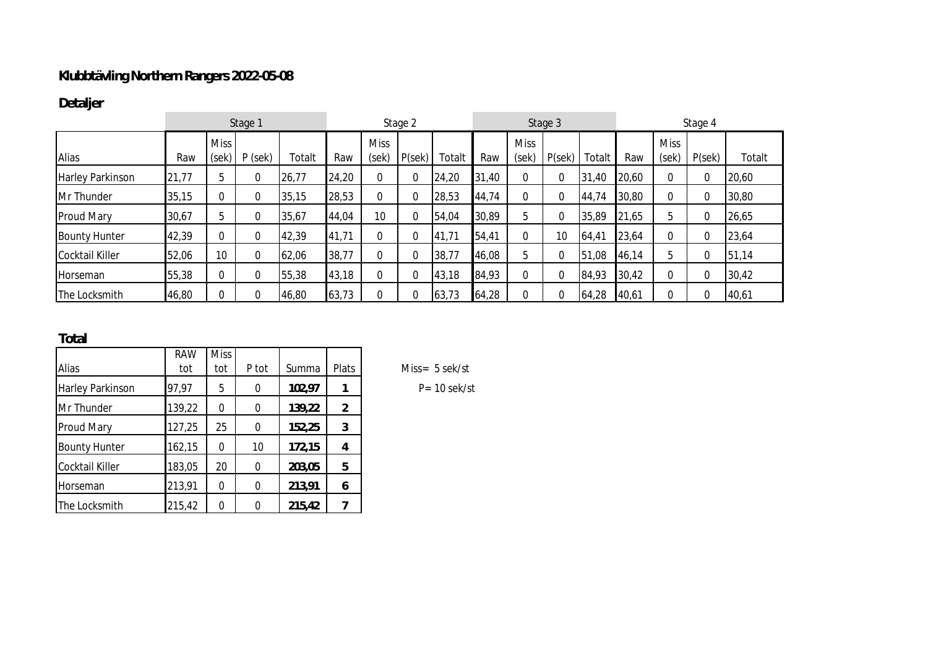## **Klubbtävling Northern Rangers 2022-05-08**

the company of the company

## **Detaljer**

|                         | Stage 1 |                 |                   |        | Stage 2 |                      |       | Stage 3 |       |                      | Stage 4 |             |       |                      |       |        |
|-------------------------|---------|-----------------|-------------------|--------|---------|----------------------|-------|---------|-------|----------------------|---------|-------------|-------|----------------------|-------|--------|
| Alias                   | Raw     | <b>Miss</b>     | $(sek)$ P $(sek)$ | Гоtalt | Raw     | <b>Miss</b><br>(sek) | P(se) | Totalt  | Raw   | <b>Miss</b><br>(sek) | P(se)   | Totalt      | Raw   | <b>Miss</b><br>(sek) | P(se) | Totalt |
| <b>Harley Parkinson</b> | 21,77   | 5               | 0                 | 26,77  | 24,20   | 0                    | 0     | 24,20   | 31,40 | 0                    | 0       | 31,40       | 20,60 | $\Omega$             | 0     | 20,60  |
| Mr Thunder              | 35,15   | $\Omega$        | 0                 | 35,15  | 28,53   | 0                    | 0     | 28,53   | 44,74 | $\overline{0}$       | 0       | 44,74       | 30,80 | $\Omega$             |       | 30,80  |
| <b>Proud Mary</b>       | 30,67   | 5               | 0                 | 35,67  | 44,04   | 10                   | 0     | 54,04   | 30,89 | 5                    | 0       | 35,89       | 21,65 | 5                    | 0     | 26,65  |
| <b>Bounty Hunter</b>    | 42,39   | $\Omega$        | $\Omega$          | 42,39  | 41,71   | 0                    | 0     | 41,71   | 54,41 | $\Omega$             | 10      | 64,41       | 23,64 | $\Omega$             |       | 23,64  |
| <b>Cocktail Killer</b>  | 52,06   | 10 <sup>°</sup> | $\Omega$          | 62,06  | 38,77   | 0                    | 0     | 38,77   | 46,08 | 5                    | 0       | 151<br>0,08 | 46,14 | 5                    |       | 51,14  |
| <b>Horseman</b>         | 55,38   | $\Omega$        | $\Omega$          | 55,38  | 43,18   | 0                    | 0     | 43,18   | 84,93 | 0                    | 0       | 84,93       | 30,42 | $\Omega$             |       | 30,42  |
| The Locksmith           | 46,80   | $\Omega$        |                   | 46,80  | 63,73   | $\Omega$             |       | 63,73   | 64,28 |                      | 0       | 64,28       | 40,61 |                      |       | 40,61  |

**Total**

|                      | <b>RAW</b> | <b>Miss</b> |       |        |       |
|----------------------|------------|-------------|-------|--------|-------|
| Alias                | tot        | tot         | P tot | Summa  | Plats |
| Harley Parkinson     | 97,97      | 5           | 0     | 102,97 |       |
| Mr Thunder           | 139,22     | 0           | 0     | 139,22 | 2     |
| Proud Mary           | 127,25     | 25          | U     | 152,25 | 3     |
| <b>Bounty Hunter</b> | 162,15     | 0           | 10    | 172,15 | 4     |
| Cocktail Killer      | 183,05     | 20          | 0     | 203,05 | 5     |
| Horseman             | 213,91     | 0           | U     | 213,91 | 6     |
| The Locksmith        | 215,42     | O           |       | 215,42 |       |

 $Miss = 5 sek/st$ 

Harley Parkinson 97,97 5 0 **102,97 1** P= 10 sek/st